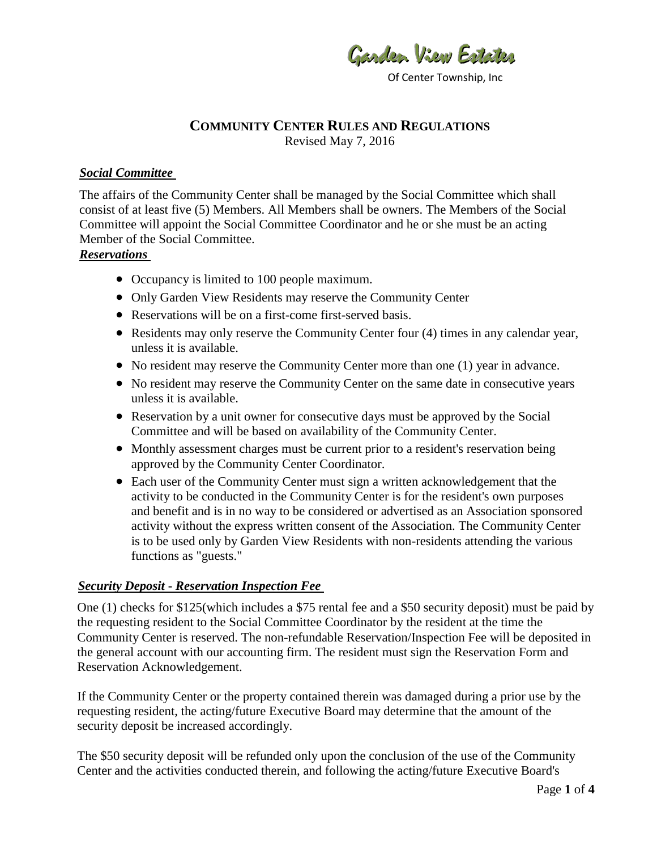Garden View Estates

Of Center Township, Inc

# **COMMUNITY CENTER RULES AND REGULATIONS**

Revised May 7, 2016

#### *Social Committee*

The affairs of the Community Center shall be managed by the Social Committee which shall consist of at least five (5) Members. All Members shall be owners. The Members of the Social Committee will appoint the Social Committee Coordinator and he or she must be an acting Member of the Social Committee.

#### *Reservations*

- Occupancy is limited to 100 people maximum.
- Only Garden View Residents may reserve the Community Center
- Reservations will be on a first-come first-served basis.
- Residents may only reserve the Community Center four (4) times in any calendar year, unless it is available.
- No resident may reserve the Community Center more than one (1) year in advance.
- No resident may reserve the Community Center on the same date in consecutive years unless it is available.
- Reservation by a unit owner for consecutive days must be approved by the Social Committee and will be based on availability of the Community Center.
- Monthly assessment charges must be current prior to a resident's reservation being approved by the Community Center Coordinator.
- Each user of the Community Center must sign a written acknowledgement that the activity to be conducted in the Community Center is for the resident's own purposes and benefit and is in no way to be considered or advertised as an Association sponsored activity without the express written consent of the Association. The Community Center is to be used only by Garden View Residents with non-residents attending the various functions as "guests."

#### *Security Deposit* **-** *Reservation Inspection Fee*

One (1) checks for \$125(which includes a \$75 rental fee and a \$50 security deposit) must be paid by the requesting resident to the Social Committee Coordinator by the resident at the time the Community Center is reserved. The non-refundable Reservation/Inspection Fee will be deposited in the general account with our accounting firm. The resident must sign the Reservation Form and Reservation Acknowledgement.

If the Community Center or the property contained therein was damaged during a prior use by the requesting resident, the acting/future Executive Board may determine that the amount of the security deposit be increased accordingly.

The \$50 security deposit will be refunded only upon the conclusion of the use of the Community Center and the activities conducted therein, and following the acting/future Executive Board's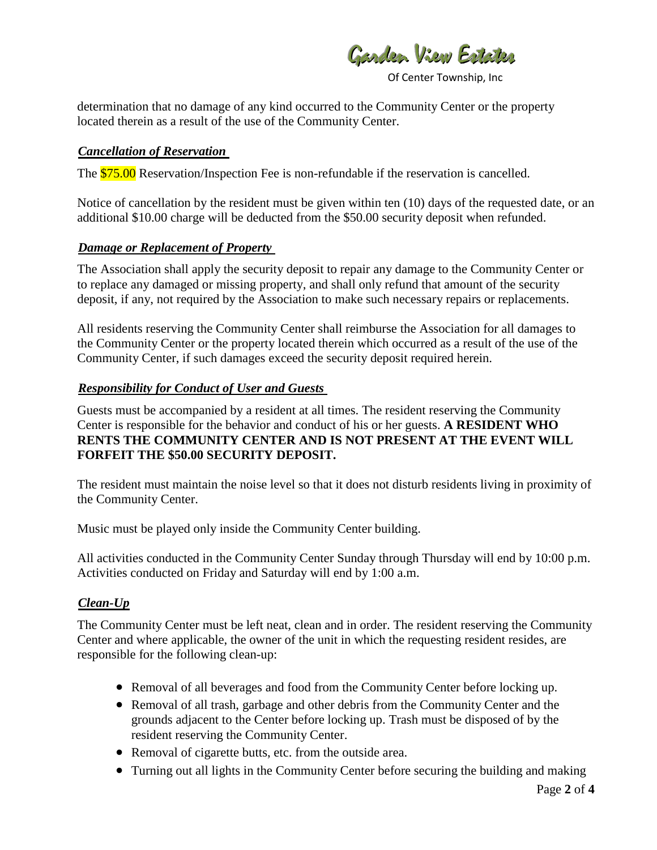Garden View Estates

Of Center Township, Inc

determination that no damage of any kind occurred to the Community Center or the property located therein as a result of the use of the Community Center.

## *Cancellation of Reservation*

The \$75.00 Reservation/Inspection Fee is non-refundable if the reservation is cancelled.

Notice of cancellation by the resident must be given within ten (10) days of the requested date, or an additional \$10.00 charge will be deducted from the \$50.00 security deposit when refunded.

## *Damage or Replacement of Property*

The Association shall apply the security deposit to repair any damage to the Community Center or to replace any damaged or missing property, and shall only refund that amount of the security deposit, if any, not required by the Association to make such necessary repairs or replacements.

All residents reserving the Community Center shall reimburse the Association for all damages to the Community Center or the property located therein which occurred as a result of the use of the Community Center, if such damages exceed the security deposit required herein.

## *Responsibility for Conduct of User and Guests*

Guests must be accompanied by a resident at all times. The resident reserving the Community Center is responsible for the behavior and conduct of his or her guests. **A RESIDENT WHO RENTS THE COMMUNITY CENTER AND IS NOT PRESENT AT THE EVENT WILL FORFEIT THE \$50.00 SECURITY DEPOSIT.** 

The resident must maintain the noise level so that it does not disturb residents living in proximity of the Community Center.

Music must be played only inside the Community Center building.

All activities conducted in the Community Center Sunday through Thursday will end by 10:00 p.m. Activities conducted on Friday and Saturday will end by 1:00 a.m.

# *Clean-Up*

The Community Center must be left neat, clean and in order. The resident reserving the Community Center and where applicable, the owner of the unit in which the requesting resident resides, are responsible for the following clean-up:

- Removal of all beverages and food from the Community Center before locking up.
- Removal of all trash, garbage and other debris from the Community Center and the grounds adjacent to the Center before locking up. Trash must be disposed of by the resident reserving the Community Center.
- Removal of cigarette butts, etc. from the outside area.
- Turning out all lights in the Community Center before securing the building and making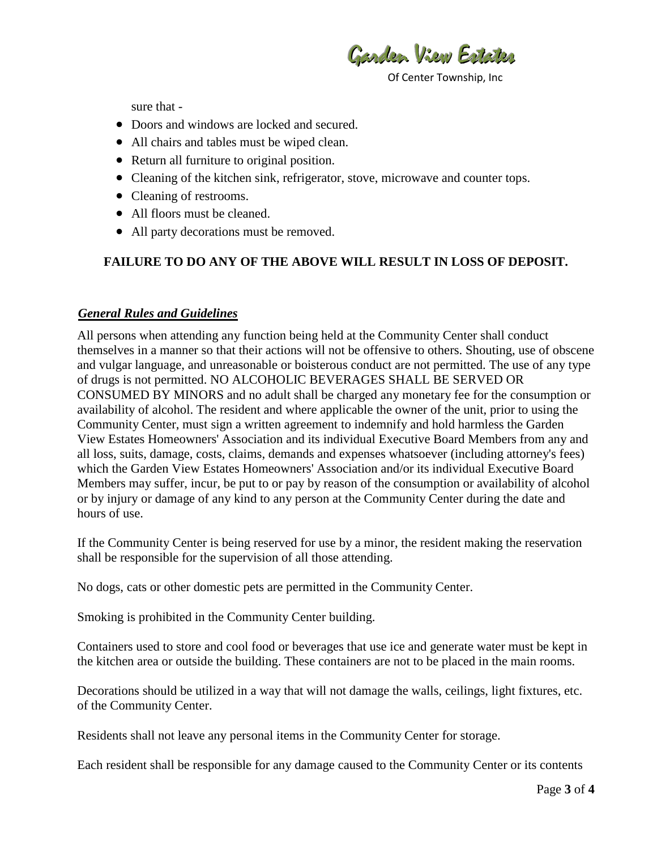Garden View Estates

Of Center Township, Inc

sure that -

- Doors and windows are locked and secured.
- All chairs and tables must be wiped clean.
- Return all furniture to original position.
- Cleaning of the kitchen sink, refrigerator, stove, microwave and counter tops.
- Cleaning of restrooms.
- All floors must be cleaned.
- All party decorations must be removed.

## **FAILURE TO DO ANY OF THE ABOVE WILL RESULT IN LOSS OF DEPOSIT.**

#### *General Rules and Guidelines*

All persons when attending any function being held at the Community Center shall conduct themselves in a manner so that their actions will not be offensive to others. Shouting, use of obscene and vulgar language, and unreasonable or boisterous conduct are not permitted. The use of any type of drugs is not permitted. NO ALCOHOLIC BEVERAGES SHALL BE SERVED OR CONSUMED BY MINORS and no adult shall be charged any monetary fee for the consumption or availability of alcohol. The resident and where applicable the owner of the unit, prior to using the Community Center, must sign a written agreement to indemnify and hold harmless the Garden View Estates Homeowners' Association and its individual Executive Board Members from any and all loss, suits, damage, costs, claims, demands and expenses whatsoever (including attorney's fees) which the Garden View Estates Homeowners' Association and/or its individual Executive Board Members may suffer, incur, be put to or pay by reason of the consumption or availability of alcohol or by injury or damage of any kind to any person at the Community Center during the date and hours of use.

If the Community Center is being reserved for use by a minor, the resident making the reservation shall be responsible for the supervision of all those attending.

No dogs, cats or other domestic pets are permitted in the Community Center.

Smoking is prohibited in the Community Center building.

Containers used to store and cool food or beverages that use ice and generate water must be kept in the kitchen area or outside the building. These containers are not to be placed in the main rooms.

Decorations should be utilized in a way that will not damage the walls, ceilings, light fixtures, etc. of the Community Center.

Residents shall not leave any personal items in the Community Center for storage.

Each resident shall be responsible for any damage caused to the Community Center or its contents